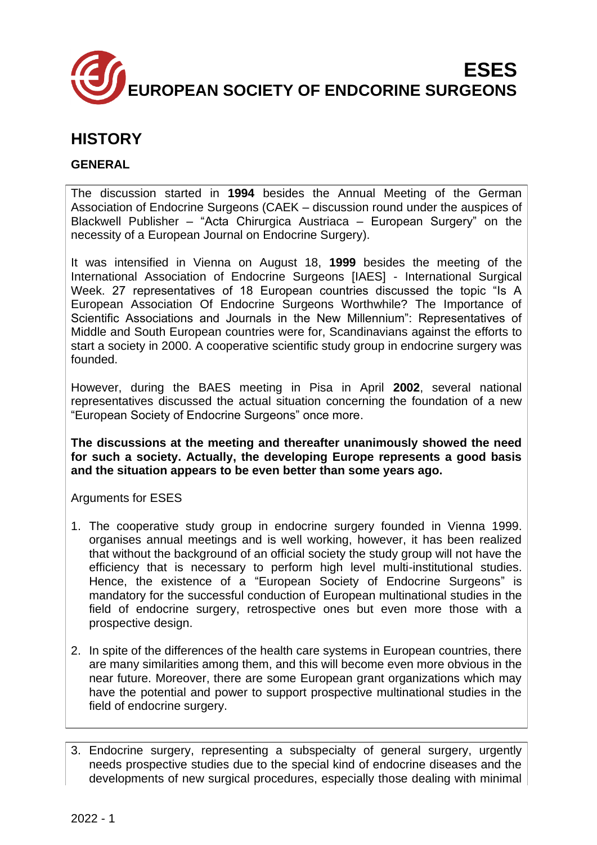

# **HISTORY**

# **GENERAL**

The discussion started in **1994** besides the Annual Meeting of the German Association of Endocrine Surgeons (CAEK – discussion round under the auspices of Blackwell Publisher – "Acta Chirurgica Austriaca – European Surgery" on the necessity of a European Journal on Endocrine Surgery).

It was intensified in Vienna on August 18, **1999** besides the meeting of the International Association of Endocrine Surgeons [IAES] - International Surgical Week. 27 representatives of 18 European countries discussed the topic "Is A European Association Of Endocrine Surgeons Worthwhile? The Importance of Scientific Associations and Journals in the New Millennium": Representatives of Middle and South European countries were for, Scandinavians against the efforts to start a society in 2000. A cooperative scientific study group in endocrine surgery was founded.

However, during the BAES meeting in Pisa in April **2002**, several national representatives discussed the actual situation concerning the foundation of a new "European Society of Endocrine Surgeons" once more.

**The discussions at the meeting and thereafter unanimously showed the need for such a society. Actually, the developing Europe represents a good basis and the situation appears to be even better than some years ago.**

# Arguments for ESES

- 1. The cooperative study group in endocrine surgery founded in Vienna 1999. organises annual meetings and is well working, however, it has been realized that without the background of an official society the study group will not have the efficiency that is necessary to perform high level multi-institutional studies. Hence, the existence of a "European Society of Endocrine Surgeons" is mandatory for the successful conduction of European multinational studies in the field of endocrine surgery, retrospective ones but even more those with a prospective design.
- 2. In spite of the differences of the health care systems in European countries, there are many similarities among them, and this will become even more obvious in the near future. Moreover, there are some European grant organizations which may have the potential and power to support prospective multinational studies in the field of endocrine surgery.

<sup>3.</sup> Endocrine surgery, representing a subspecialty of general surgery, urgently needs prospective studies due to the special kind of endocrine diseases and the developments of new surgical procedures, especially those dealing with minimal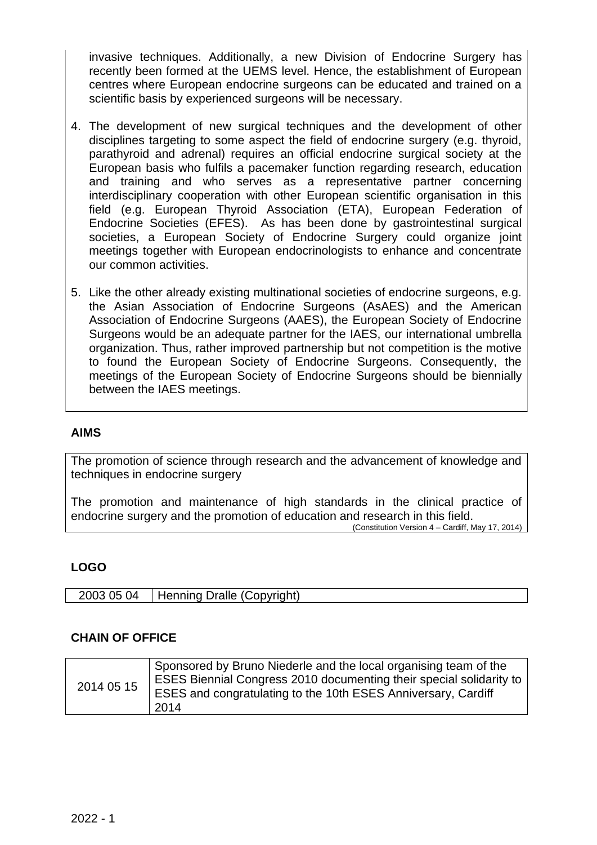invasive techniques. Additionally, a new Division of Endocrine Surgery has recently been formed at the UEMS level. Hence, the establishment of European centres where European endocrine surgeons can be educated and trained on a scientific basis by experienced surgeons will be necessary.

- 4. The development of new surgical techniques and the development of other disciplines targeting to some aspect the field of endocrine surgery (e.g. thyroid, parathyroid and adrenal) requires an official endocrine surgical society at the European basis who fulfils a pacemaker function regarding research, education and training and who serves as a representative partner concerning interdisciplinary cooperation with other European scientific organisation in this field (e.g. European Thyroid Association (ETA), European Federation of Endocrine Societies (EFES). As has been done by gastrointestinal surgical societies, a European Society of Endocrine Surgery could organize joint meetings together with European endocrinologists to enhance and concentrate our common activities.
- 5. Like the other already existing multinational societies of endocrine surgeons, e.g. the Asian Association of Endocrine Surgeons (AsAES) and the American Association of Endocrine Surgeons (AAES), the European Society of Endocrine Surgeons would be an adequate partner for the IAES, our international umbrella organization. Thus, rather improved partnership but not competition is the motive to found the European Society of Endocrine Surgeons. Consequently, the meetings of the European Society of Endocrine Surgeons should be biennially between the IAES meetings.

# **AIMS**

The promotion of science through research and the advancement of knowledge and techniques in endocrine surgery

The promotion and maintenance of high standards in the clinical practice of endocrine surgery and the promotion of education and research in this field.

(Constitution Version 4 – Cardiff, May 17, 2014)

# **LOGO**

| 05 04<br>2003 | Henning Dralle (Copyright) |
|---------------|----------------------------|
|               |                            |

#### **CHAIN OF OFFICE**

| 2014 05 15 | Sponsored by Bruno Niederle and the local organising team of the<br>ESES Biennial Congress 2010 documenting their special solidarity to<br><b>ESES and congratulating to the 10th ESES Anniversary, Cardiff</b><br>2014 |
|------------|-------------------------------------------------------------------------------------------------------------------------------------------------------------------------------------------------------------------------|
|------------|-------------------------------------------------------------------------------------------------------------------------------------------------------------------------------------------------------------------------|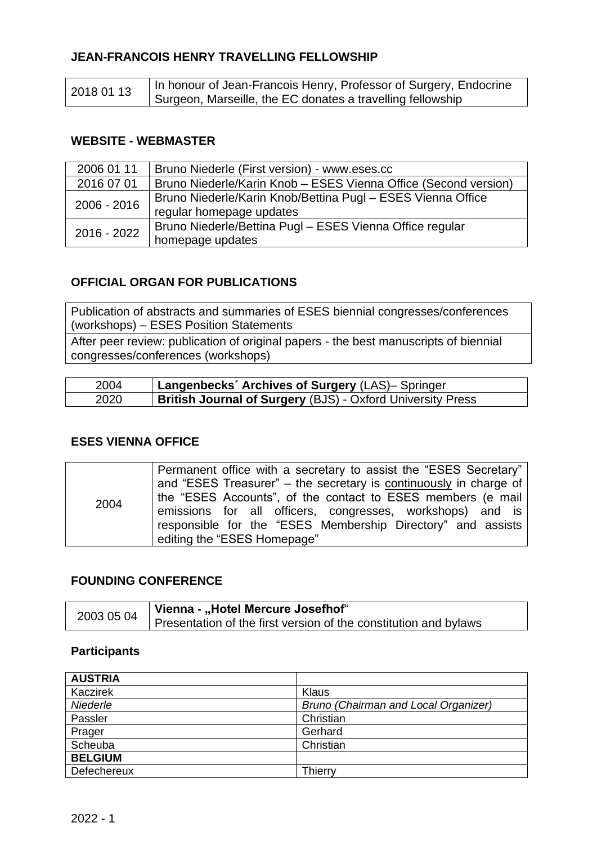# **JEAN-FRANCOIS HENRY TRAVELLING FELLOWSHIP**

| 2018 01 13 | In honour of Jean-Francois Henry, Professor of Surgery, Endocrine |
|------------|-------------------------------------------------------------------|
|            | Surgeon, Marseille, the EC donates a travelling fellowship        |

# **WEBSITE - WEBMASTER**

| 2006 01 11    | Bruno Niederle (First version) - www.eses.cc                    |  |
|---------------|-----------------------------------------------------------------|--|
| 2016 07 01    | Bruno Niederle/Karin Knob - ESES Vienna Office (Second version) |  |
| $2006 - 2016$ | Bruno Niederle/Karin Knob/Bettina Pugl - ESES Vienna Office     |  |
|               | regular homepage updates                                        |  |
| 2016 - 2022   | Bruno Niederle/Bettina Pugl - ESES Vienna Office regular        |  |
|               | homepage updates                                                |  |

# **OFFICIAL ORGAN FOR PUBLICATIONS**

Publication of abstracts and summaries of ESES biennial congresses/conferences (workshops) – ESES Position Statements

After peer review: publication of original papers - the best manuscripts of biennial congresses/conferences (workshops)

| 2004 | Langenbecks' Archives of Surgery (LAS)- Springer                  |
|------|-------------------------------------------------------------------|
| 2020 | <b>British Journal of Surgery (BJS) - Oxford University Press</b> |

# **ESES VIENNA OFFICE**

| 2004 | Permanent office with a secretary to assist the "ESES Secretary"  |
|------|-------------------------------------------------------------------|
|      | and "ESES Treasurer" – the secretary is continuously in charge of |
|      | the "ESES Accounts", of the contact to ESES members (e mail       |
|      | emissions for all officers, congresses, workshops) and is         |
|      | responsible for the "ESES Membership Directory" and assists       |
|      | editing the "ESES Homepage"                                       |

# **FOUNDING CONFERENCE**

| 2003 05 04 | Vienna - "Hotel Mercure Josefhof"                                |
|------------|------------------------------------------------------------------|
|            | Presentation of the first version of the constitution and bylaws |

# **Participants**

| <b>AUSTRIA</b> |                                      |
|----------------|--------------------------------------|
| Kaczirek       | Klaus                                |
| Niederle       | Bruno (Chairman and Local Organizer) |
| Passler        | Christian                            |
| Prager         | Gerhard                              |
| Scheuba        | Christian                            |
| <b>BELGIUM</b> |                                      |
| Defechereux    | Thierry                              |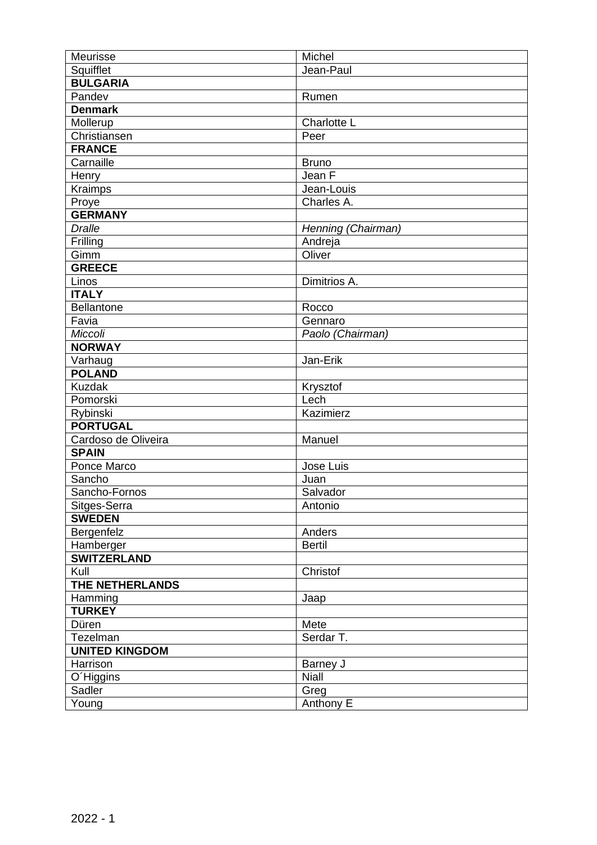| Meurisse              | Michel             |
|-----------------------|--------------------|
| Squifflet             | Jean-Paul          |
| <b>BULGARIA</b>       |                    |
| Pandev                | Rumen              |
| <b>Denmark</b>        |                    |
| Mollerup              | <b>Charlotte L</b> |
| Christiansen          | Peer               |
| <b>FRANCE</b>         |                    |
| Carnaille             | <b>Bruno</b>       |
| Henry                 | Jean F             |
| Kraimps               | Jean-Louis         |
| Proye                 | Charles A.         |
| <b>GERMANY</b>        |                    |
| <b>Dralle</b>         | Henning (Chairman) |
| Frilling              | Andreja            |
| Gimm                  | Oliver             |
| <b>GREECE</b>         |                    |
| Linos                 | Dimitrios A.       |
| <b>ITALY</b>          |                    |
| <b>Bellantone</b>     | Rocco              |
| Favia                 | Gennaro            |
| Miccoli               | Paolo (Chairman)   |
| <b>NORWAY</b>         |                    |
| Varhaug               | Jan-Erik           |
| <b>POLAND</b>         |                    |
| <b>Kuzdak</b>         | Krysztof           |
| Pomorski              | Lech               |
| Rybinski              | Kazimierz          |
| <b>PORTUGAL</b>       |                    |
| Cardoso de Oliveira   | Manuel             |
| <b>SPAIN</b>          |                    |
| Ponce Marco           | Jose Luis          |
| Sancho                | Juan               |
| Sancho-Fornos         | Salvador           |
| Sitges-Serra          | Antonio            |
| <b>SWEDEN</b>         |                    |
| Bergenfelz            | Anders             |
| Hamberger             | <b>Bertil</b>      |
| <b>SWITZERLAND</b>    |                    |
| Kull                  | Christof           |
| THE NETHERLANDS       |                    |
| Hamming               | Jaap               |
| <b>TURKEY</b>         |                    |
| Düren                 | Mete               |
| Tezelman              | Serdar T.          |
| <b>UNITED KINGDOM</b> |                    |
| Harrison              | Barney J           |
| O'Higgins             | <b>Niall</b>       |
| Sadler                | Greg               |
| Young                 | Anthony E          |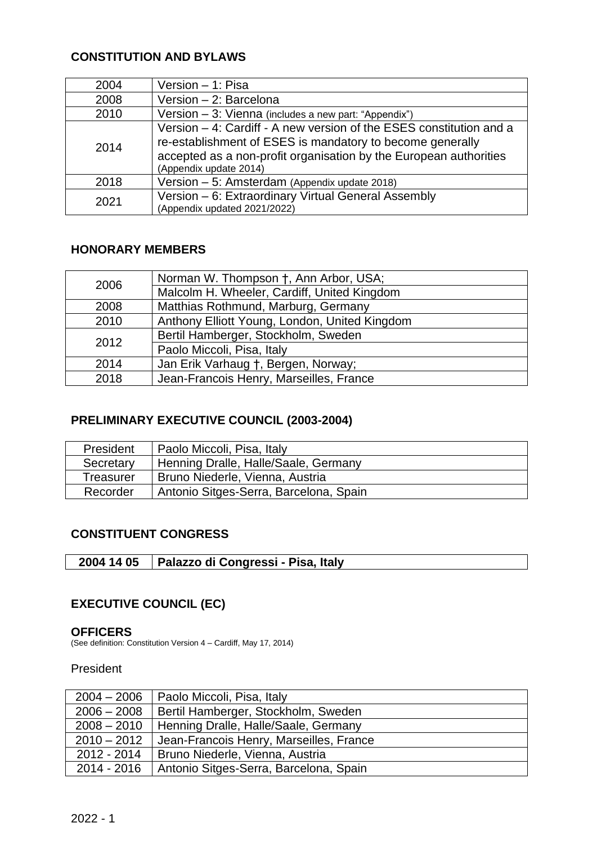# **CONSTITUTION AND BYLAWS**

| 2004 | Version - 1: Pisa                                                                                                                                                                                                               |
|------|---------------------------------------------------------------------------------------------------------------------------------------------------------------------------------------------------------------------------------|
| 2008 | Version - 2: Barcelona                                                                                                                                                                                                          |
| 2010 | Version - 3: Vienna (includes a new part: "Appendix")                                                                                                                                                                           |
| 2014 | Version - 4: Cardiff - A new version of the ESES constitution and a<br>re-establishment of ESES is mandatory to become generally<br>accepted as a non-profit organisation by the European authorities<br>(Appendix update 2014) |
| 2018 | Version - 5: Amsterdam (Appendix update 2018)                                                                                                                                                                                   |
| 2021 | Version - 6: Extraordinary Virtual General Assembly<br>(Appendix updated 2021/2022)                                                                                                                                             |

# **HONORARY MEMBERS**

| 2006 | Norman W. Thompson †, Ann Arbor, USA;         |
|------|-----------------------------------------------|
|      | Malcolm H. Wheeler, Cardiff, United Kingdom   |
| 2008 | Matthias Rothmund, Marburg, Germany           |
| 2010 | Anthony Elliott Young, London, United Kingdom |
| 2012 | Bertil Hamberger, Stockholm, Sweden           |
|      | Paolo Miccoli, Pisa, Italy                    |
| 2014 | Jan Erik Varhaug †, Bergen, Norway;           |
| 2018 | Jean-Francois Henry, Marseilles, France       |

# **PRELIMINARY EXECUTIVE COUNCIL (2003-2004)**

| President | Paolo Miccoli, Pisa, Italy             |
|-----------|----------------------------------------|
| Secretary | Henning Dralle, Halle/Saale, Germany   |
| Treasurer | Bruno Niederle, Vienna, Austria        |
| Recorder  | Antonio Sitges-Serra, Barcelona, Spain |

# **CONSTITUENT CONGRESS**

|  | 2004 14 05   Palazzo di Congressi - Pisa, Italy |
|--|-------------------------------------------------|
|--|-------------------------------------------------|

# **EXECUTIVE COUNCIL (EC)**

#### **OFFICERS**

(See definition: Constitution Version 4 – Cardiff, May 17, 2014)

# President

| $2004 - 2006$ | Paolo Miccoli, Pisa, Italy              |
|---------------|-----------------------------------------|
| $2006 - 2008$ | Bertil Hamberger, Stockholm, Sweden     |
| $2008 - 2010$ | Henning Dralle, Halle/Saale, Germany    |
| $2010 - 2012$ | Jean-Francois Henry, Marseilles, France |
| 2012 - 2014   | Bruno Niederle, Vienna, Austria         |
| 2014 - 2016   | Antonio Sitges-Serra, Barcelona, Spain  |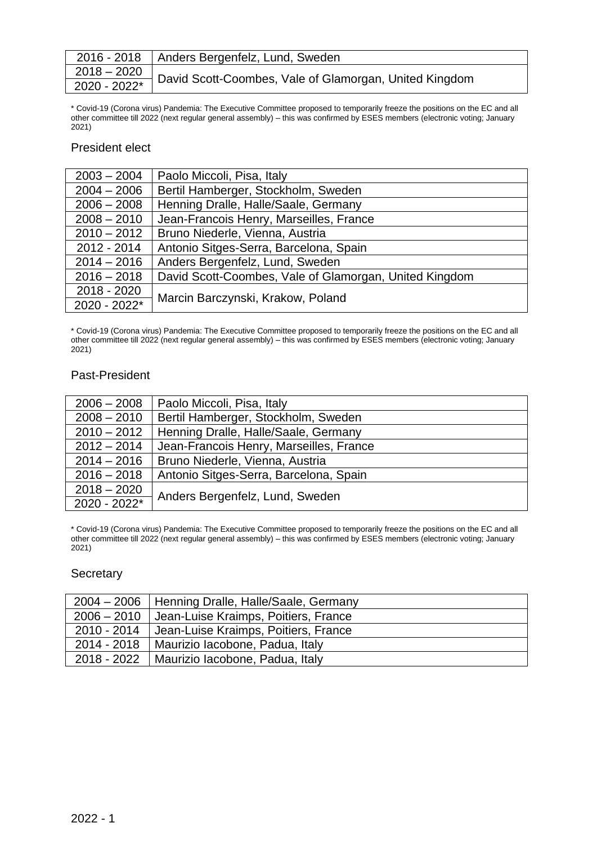| 2016 - 2018   Anders Bergenfelz, Lund, Sweden                                                            |
|----------------------------------------------------------------------------------------------------------|
| $\left.\frac{2018-2020}{2020\cdot 2022^*}\right]$ David Scott-Coombes, Vale of Glamorgan, United Kingdom |
|                                                                                                          |

\* Covid-19 (Corona virus) Pandemia: The Executive Committee proposed to temporarily freeze the positions on the EC and all other committee till 2022 (next regular general assembly) – this was confirmed by ESES members (electronic voting; January 2021)

#### President elect

| $2003 - 2004$  | Paolo Miccoli, Pisa, Italy                             |
|----------------|--------------------------------------------------------|
| $2004 - 2006$  | Bertil Hamberger, Stockholm, Sweden                    |
| $2006 - 2008$  | Henning Dralle, Halle/Saale, Germany                   |
| $2008 - 2010$  | Jean-Francois Henry, Marseilles, France                |
| $2010 - 2012$  | Bruno Niederle, Vienna, Austria                        |
| 2012 - 2014    | Antonio Sitges-Serra, Barcelona, Spain                 |
| $2014 - 2016$  | Anders Bergenfelz, Lund, Sweden                        |
| $2016 - 2018$  | David Scott-Coombes, Vale of Glamorgan, United Kingdom |
| 2018 - 2020    |                                                        |
| $2020 - 2022*$ | Marcin Barczynski, Krakow, Poland                      |

\* Covid-19 (Corona virus) Pandemia: The Executive Committee proposed to temporarily freeze the positions on the EC and all other committee till 2022 (next regular general assembly) – this was confirmed by ESES members (electronic voting; January 2021)

#### Past-President

| $2006 - 2008$ | Paolo Miccoli, Pisa, Italy              |
|---------------|-----------------------------------------|
| $2008 - 2010$ | Bertil Hamberger, Stockholm, Sweden     |
| $2010 - 2012$ | Henning Dralle, Halle/Saale, Germany    |
| $2012 - 2014$ | Jean-Francois Henry, Marseilles, France |
| $2014 - 2016$ | Bruno Niederle, Vienna, Austria         |
| $2016 - 2018$ | Antonio Sitges-Serra, Barcelona, Spain  |
| $2018 - 2020$ |                                         |
| 2020 - 2022*  | Anders Bergenfelz, Lund, Sweden         |

\* Covid-19 (Corona virus) Pandemia: The Executive Committee proposed to temporarily freeze the positions on the EC and all other committee till 2022 (next regular general assembly) – this was confirmed by ESES members (electronic voting; January 2021)

#### **Secretary**

|             | 2004 – 2006   Henning Dralle, Halle/Saale, Germany |
|-------------|----------------------------------------------------|
|             | 2006 – 2010   Jean-Luise Kraimps, Poitiers, France |
|             | 2010 - 2014   Jean-Luise Kraimps, Poitiers, France |
| 2014 - 2018 | Maurizio Iacobone, Padua, Italy                    |
|             | 2018 - 2022   Maurizio Iacobone, Padua, Italy      |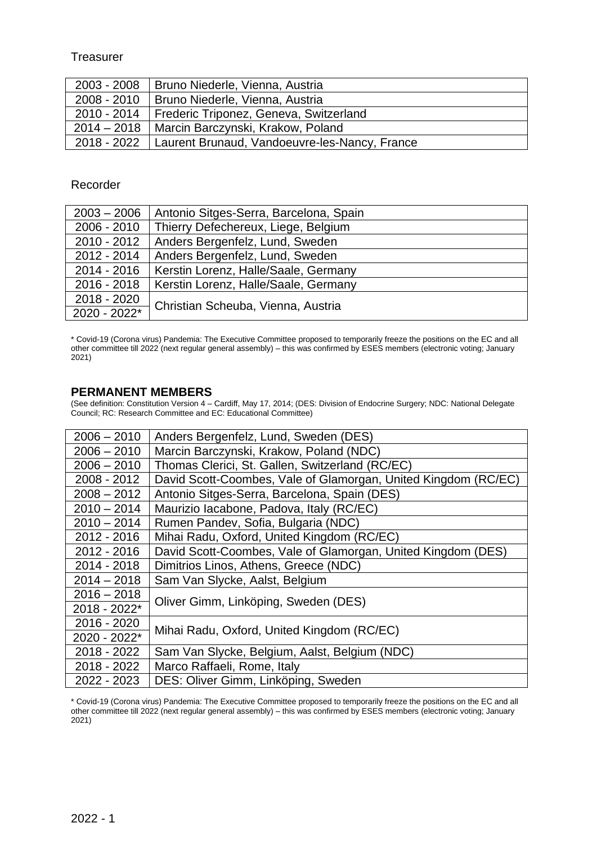### **Treasurer**

| 2003 - 2008   | Bruno Niederle, Vienna, Austria                             |
|---------------|-------------------------------------------------------------|
| $2008 - 2010$ | Bruno Niederle, Vienna, Austria                             |
| 2010 - 2014   | Frederic Triponez, Geneva, Switzerland                      |
| $2014 - 2018$ | Marcin Barczynski, Krakow, Poland                           |
|               | 2018 - 2022   Laurent Brunaud, Vandoeuvre-les-Nancy, France |

#### Recorder

| $2003 - 2006$ | Antonio Sitges-Serra, Barcelona, Spain |
|---------------|----------------------------------------|
| $2006 - 2010$ | Thierry Defechereux, Liege, Belgium    |
| $2010 - 2012$ | Anders Bergenfelz, Lund, Sweden        |
| 2012 - 2014   | Anders Bergenfelz, Lund, Sweden        |
| $2014 - 2016$ | Kerstin Lorenz, Halle/Saale, Germany   |
| 2016 - 2018   | Kerstin Lorenz, Halle/Saale, Germany   |
| 2018 - 2020   | Christian Scheuba, Vienna, Austria     |
| 2020 - 2022*  |                                        |

\* Covid-19 (Corona virus) Pandemia: The Executive Committee proposed to temporarily freeze the positions on the EC and all other committee till 2022 (next regular general assembly) – this was confirmed by ESES members (electronic voting; January 2021)

#### **PERMANENT MEMBERS**

(See definition: Constitution Version 4 – Cardiff, May 17, 2014; (DES: Division of Endocrine Surgery; NDC: National Delegate Council; RC: Research Committee and EC: Educational Committee)

| $2006 - 2010$ | Anders Bergenfelz, Lund, Sweden (DES)                          |
|---------------|----------------------------------------------------------------|
| $2006 - 2010$ | Marcin Barczynski, Krakow, Poland (NDC)                        |
| $2006 - 2010$ | Thomas Clerici, St. Gallen, Switzerland (RC/EC)                |
| 2008 - 2012   | David Scott-Coombes, Vale of Glamorgan, United Kingdom (RC/EC) |
| $2008 - 2012$ | Antonio Sitges-Serra, Barcelona, Spain (DES)                   |
| $2010 - 2014$ | Maurizio lacabone, Padova, Italy (RC/EC)                       |
| $2010 - 2014$ | Rumen Pandev, Sofia, Bulgaria (NDC)                            |
| 2012 - 2016   | Mihai Radu, Oxford, United Kingdom (RC/EC)                     |
| 2012 - 2016   | David Scott-Coombes, Vale of Glamorgan, United Kingdom (DES)   |
| 2014 - 2018   | Dimitrios Linos, Athens, Greece (NDC)                          |
| $2014 - 2018$ | Sam Van Slycke, Aalst, Belgium                                 |
| $2016 - 2018$ |                                                                |
| 2018 - 2022*  | Oliver Gimm, Linköping, Sweden (DES)                           |
| 2016 - 2020   | Mihai Radu, Oxford, United Kingdom (RC/EC)                     |
| 2020 - 2022*  |                                                                |
| 2018 - 2022   | Sam Van Slycke, Belgium, Aalst, Belgium (NDC)                  |
| 2018 - 2022   | Marco Raffaeli, Rome, Italy                                    |
| 2022 - 2023   | DES: Oliver Gimm, Linköping, Sweden                            |

\* Covid-19 (Corona virus) Pandemia: The Executive Committee proposed to temporarily freeze the positions on the EC and all other committee till 2022 (next regular general assembly) – this was confirmed by ESES members (electronic voting; January 2021)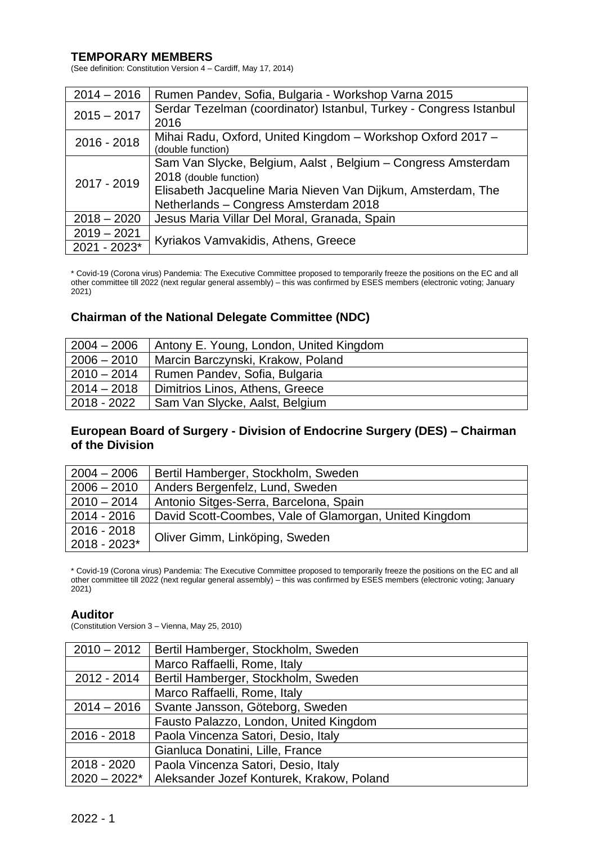#### **TEMPORARY MEMBERS**

(See definition: Constitution Version 4 – Cardiff, May 17, 2014)

| $2014 - 2016$ | Rumen Pandev, Sofia, Bulgaria - Workshop Varna 2015                |
|---------------|--------------------------------------------------------------------|
| $2015 - 2017$ | Serdar Tezelman (coordinator) Istanbul, Turkey - Congress Istanbul |
|               | 2016                                                               |
| $2016 - 2018$ | Mihai Radu, Oxford, United Kingdom - Workshop Oxford 2017 -        |
|               | (double function)                                                  |
|               | Sam Van Slycke, Belgium, Aalst, Belgium – Congress Amsterdam       |
| 2017 - 2019   | 2018 (double function)                                             |
|               | Elisabeth Jacqueline Maria Nieven Van Dijkum, Amsterdam, The       |
|               | Netherlands - Congress Amsterdam 2018                              |
| $2018 - 2020$ | Jesus Maria Villar Del Moral, Granada, Spain                       |
| $2019 - 2021$ |                                                                    |
| 2021 - 2023*  | Kyriakos Vamvakidis, Athens, Greece                                |

\* Covid-19 (Corona virus) Pandemia: The Executive Committee proposed to temporarily freeze the positions on the EC and all other committee till 2022 (next regular general assembly) – this was confirmed by ESES members (electronic voting; January 2021)

# **Chairman of the National Delegate Committee (NDC)**

| $2004 - 2006$ | Antony E. Young, London, United Kingdom |
|---------------|-----------------------------------------|
| $2006 - 2010$ | Marcin Barczynski, Krakow, Poland       |
| $2010 - 2014$ | Rumen Pandev, Sofia, Bulgaria           |
| $2014 - 2018$ | Dimitrios Linos, Athens, Greece         |
| 2018 - 2022   | Sam Van Slycke, Aalst, Belgium          |

# **European Board of Surgery - Division of Endocrine Surgery (DES) – Chairman of the Division**

| $2004 - 2006$ | Bertil Hamberger, Stockholm, Sweden                    |
|---------------|--------------------------------------------------------|
| $2006 - 2010$ | Anders Bergenfelz, Lund, Sweden                        |
| $2010 - 2014$ | Antonio Sitges-Serra, Barcelona, Spain                 |
| 2014 - 2016   | David Scott-Coombes, Vale of Glamorgan, United Kingdom |
| $2016 - 2018$ |                                                        |
| 2018 - 2023*  | Oliver Gimm, Linköping, Sweden                         |

\* Covid-19 (Corona virus) Pandemia: The Executive Committee proposed to temporarily freeze the positions on the EC and all other committee till 2022 (next regular general assembly) – this was confirmed by ESES members (electronic voting; January 2021)

#### **Auditor**

(Constitution Version 3 – Vienna, May 25, 2010)

| $2010 - 2012$  | Bertil Hamberger, Stockholm, Sweden       |
|----------------|-------------------------------------------|
|                | Marco Raffaelli, Rome, Italy              |
| 2012 - 2014    | Bertil Hamberger, Stockholm, Sweden       |
|                | Marco Raffaelli, Rome, Italy              |
| $2014 - 2016$  | Svante Jansson, Göteborg, Sweden          |
|                | Fausto Palazzo, London, United Kingdom    |
| 2016 - 2018    | Paola Vincenza Satori, Desio, Italy       |
|                | Gianluca Donatini, Lille, France          |
| 2018 - 2020    | Paola Vincenza Satori, Desio, Italy       |
| $2020 - 2022*$ | Aleksander Jozef Konturek, Krakow, Poland |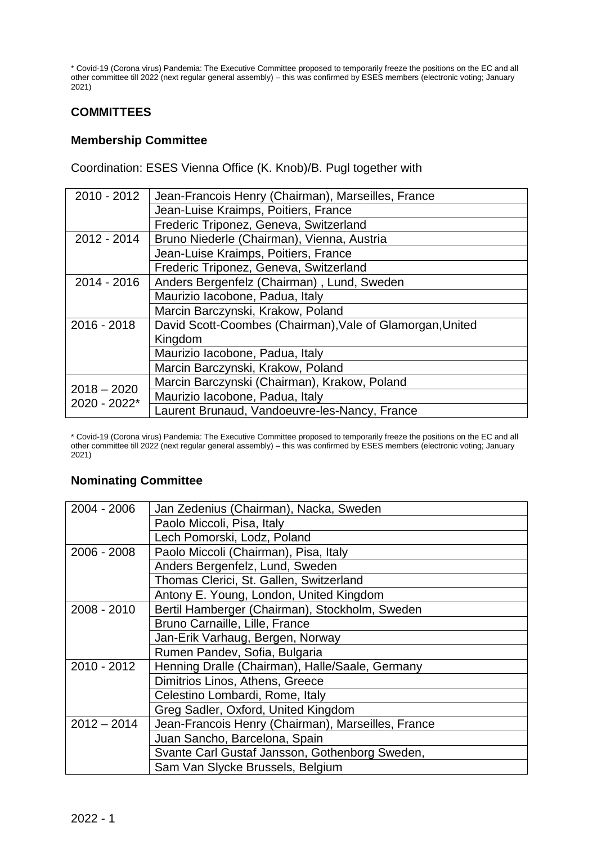\* Covid-19 (Corona virus) Pandemia: The Executive Committee proposed to temporarily freeze the positions on the EC and all other committee till 2022 (next regular general assembly) – this was confirmed by ESES members (electronic voting; January 2021)

# **COMMITTEES**

# **Membership Committee**

Coordination: ESES Vienna Office (K. Knob)/B. Pugl together with

| $2010 - 2012$                 | Jean-Francois Henry (Chairman), Marseilles, France        |
|-------------------------------|-----------------------------------------------------------|
|                               | Jean-Luise Kraimps, Poitiers, France                      |
|                               | Frederic Triponez, Geneva, Switzerland                    |
| 2012 - 2014                   | Bruno Niederle (Chairman), Vienna, Austria                |
|                               | Jean-Luise Kraimps, Poitiers, France                      |
|                               | Frederic Triponez, Geneva, Switzerland                    |
| $2014 - 2016$                 | Anders Bergenfelz (Chairman), Lund, Sweden                |
|                               | Maurizio Iacobone, Padua, Italy                           |
|                               | Marcin Barczynski, Krakow, Poland                         |
| 2016 - 2018                   | David Scott-Coombes (Chairman), Vale of Glamorgan, United |
|                               | Kingdom                                                   |
|                               | Maurizio Iacobone, Padua, Italy                           |
|                               | Marcin Barczynski, Krakow, Poland                         |
| $2018 - 2020$<br>2020 - 2022* | Marcin Barczynski (Chairman), Krakow, Poland              |
|                               | Maurizio Iacobone, Padua, Italy                           |
|                               | Laurent Brunaud, Vandoeuvre-les-Nancy, France             |
|                               |                                                           |

\* Covid-19 (Corona virus) Pandemia: The Executive Committee proposed to temporarily freeze the positions on the EC and all other committee till 2022 (next regular general assembly) – this was confirmed by ESES members (electronic voting; January  $2021$ 

# **Nominating Committee**

| 2004 - 2006   | Jan Zedenius (Chairman), Nacka, Sweden             |
|---------------|----------------------------------------------------|
|               | Paolo Miccoli, Pisa, Italy                         |
|               | Lech Pomorski, Lodz, Poland                        |
| 2006 - 2008   | Paolo Miccoli (Chairman), Pisa, Italy              |
|               | Anders Bergenfelz, Lund, Sweden                    |
|               | Thomas Clerici, St. Gallen, Switzerland            |
|               | Antony E. Young, London, United Kingdom            |
| 2008 - 2010   | Bertil Hamberger (Chairman), Stockholm, Sweden     |
|               | Bruno Carnaille, Lille, France                     |
|               | Jan-Erik Varhaug, Bergen, Norway                   |
|               | Rumen Pandev, Sofia, Bulgaria                      |
| 2010 - 2012   | Henning Dralle (Chairman), Halle/Saale, Germany    |
|               | Dimitrios Linos, Athens, Greece                    |
|               | Celestino Lombardi, Rome, Italy                    |
|               | Greg Sadler, Oxford, United Kingdom                |
| $2012 - 2014$ | Jean-Francois Henry (Chairman), Marseilles, France |
|               | Juan Sancho, Barcelona, Spain                      |
|               | Svante Carl Gustaf Jansson, Gothenborg Sweden,     |
|               | Sam Van Slycke Brussels, Belgium                   |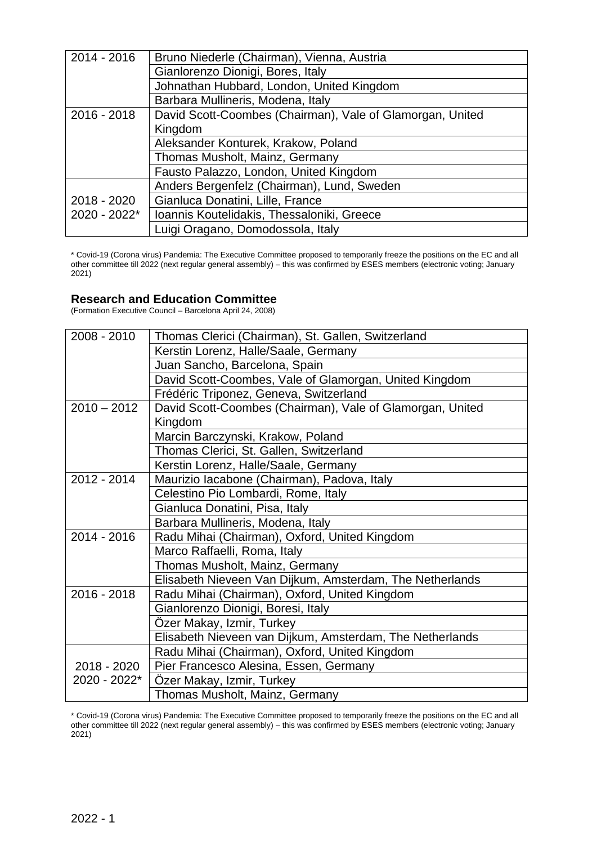| $2014 - 2016$ | Bruno Niederle (Chairman), Vienna, Austria                |
|---------------|-----------------------------------------------------------|
|               | Gianlorenzo Dionigi, Bores, Italy                         |
|               | Johnathan Hubbard, London, United Kingdom                 |
|               | Barbara Mullineris, Modena, Italy                         |
| $2016 - 2018$ | David Scott-Coombes (Chairman), Vale of Glamorgan, United |
|               | Kingdom                                                   |
|               | Aleksander Konturek, Krakow, Poland                       |
|               | Thomas Musholt, Mainz, Germany                            |
|               | Fausto Palazzo, London, United Kingdom                    |
|               | Anders Bergenfelz (Chairman), Lund, Sweden                |
| 2018 - 2020   | Gianluca Donatini, Lille, France                          |
| 2020 - 2022*  | Ioannis Koutelidakis, Thessaloniki, Greece                |
|               | Luigi Oragano, Domodossola, Italy                         |

\* Covid-19 (Corona virus) Pandemia: The Executive Committee proposed to temporarily freeze the positions on the EC and all other committee till 2022 (next regular general assembly) – this was confirmed by ESES members (electronic voting; January 2021)

# **Research and Education Committee**

(Formation Executive Council – Barcelona April 24, 2008)

| 2008 - 2010   | Thomas Clerici (Chairman), St. Gallen, Switzerland        |
|---------------|-----------------------------------------------------------|
|               | Kerstin Lorenz, Halle/Saale, Germany                      |
|               | Juan Sancho, Barcelona, Spain                             |
|               | David Scott-Coombes, Vale of Glamorgan, United Kingdom    |
|               | Frédéric Triponez, Geneva, Switzerland                    |
| $2010 - 2012$ | David Scott-Coombes (Chairman), Vale of Glamorgan, United |
|               | Kingdom                                                   |
|               | Marcin Barczynski, Krakow, Poland                         |
|               | Thomas Clerici, St. Gallen, Switzerland                   |
|               | Kerstin Lorenz, Halle/Saale, Germany                      |
| 2012 - 2014   | Maurizio lacabone (Chairman), Padova, Italy               |
|               | Celestino Pio Lombardi, Rome, Italy                       |
|               | Gianluca Donatini, Pisa, Italy                            |
|               | Barbara Mullineris, Modena, Italy                         |
| 2014 - 2016   | Radu Mihai (Chairman), Oxford, United Kingdom             |
|               | Marco Raffaelli, Roma, Italy                              |
|               | Thomas Musholt, Mainz, Germany                            |
|               | Elisabeth Nieveen Van Dijkum, Amsterdam, The Netherlands  |
| 2016 - 2018   | Radu Mihai (Chairman), Oxford, United Kingdom             |
|               | Gianlorenzo Dionigi, Boresi, Italy                        |
|               | Özer Makay, Izmir, Turkey                                 |
|               | Elisabeth Nieveen van Dijkum, Amsterdam, The Netherlands  |
|               | Radu Mihai (Chairman), Oxford, United Kingdom             |
| 2018 - 2020   | Pier Francesco Alesina, Essen, Germany                    |
| 2020 - 2022*  | Özer Makay, Izmir, Turkey                                 |
|               | Thomas Musholt, Mainz, Germany                            |

\* Covid-19 (Corona virus) Pandemia: The Executive Committee proposed to temporarily freeze the positions on the EC and all other committee till 2022 (next regular general assembly) – this was confirmed by ESES members (electronic voting; January 2021)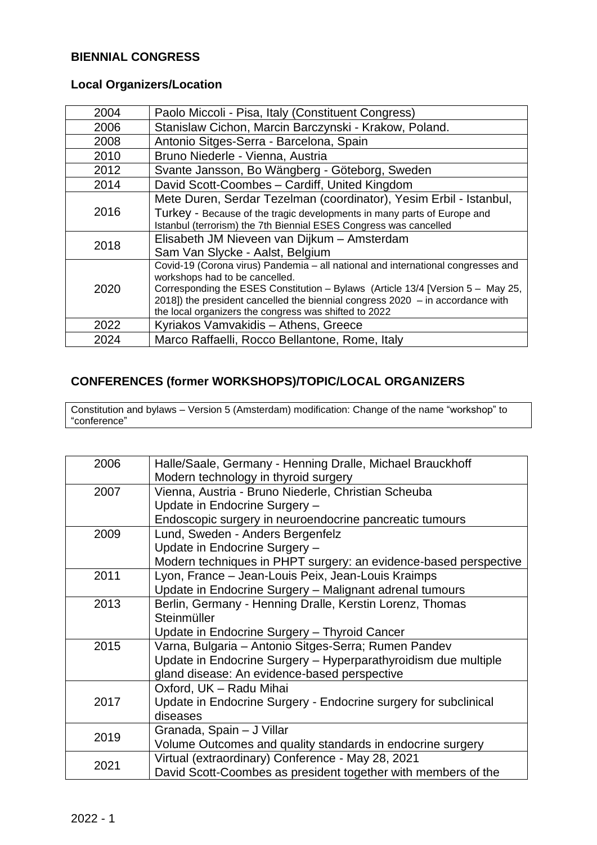# **BIENNIAL CONGRESS**

# **Local Organizers/Location**

| 2004 | Paolo Miccoli - Pisa, Italy (Constituent Congress)                               |
|------|----------------------------------------------------------------------------------|
| 2006 | Stanislaw Cichon, Marcin Barczynski - Krakow, Poland.                            |
| 2008 | Antonio Sitges-Serra - Barcelona, Spain                                          |
| 2010 | Bruno Niederle - Vienna, Austria                                                 |
| 2012 | Svante Jansson, Bo Wängberg - Göteborg, Sweden                                   |
| 2014 | David Scott-Coombes - Cardiff, United Kingdom                                    |
|      | Mete Duren, Serdar Tezelman (coordinator), Yesim Erbil - Istanbul,               |
| 2016 | Turkey - Because of the tragic developments in many parts of Europe and          |
|      | Istanbul (terrorism) the 7th Biennial ESES Congress was cancelled                |
| 2018 | Elisabeth JM Nieveen van Dijkum - Amsterdam                                      |
|      | Sam Van Slycke - Aalst, Belgium                                                  |
|      | Covid-19 (Corona virus) Pandemia - all national and international congresses and |
| 2020 | workshops had to be cancelled.                                                   |
|      | Corresponding the ESES Constitution - Bylaws (Article 13/4 [Version 5 - May 25,  |
|      | 2018]) the president cancelled the biennial congress $2020 - in$ accordance with |
|      | the local organizers the congress was shifted to 2022                            |
| 2022 | Kyriakos Vamvakidis - Athens, Greece                                             |
| 2024 | Marco Raffaelli, Rocco Bellantone, Rome, Italy                                   |

# **CONFERENCES (former WORKSHOPS)/TOPIC/LOCAL ORGANIZERS**

Constitution and bylaws – Version 5 (Amsterdam) modification: Change of the name "workshop" to "conference"

| 2006 | Halle/Saale, Germany - Henning Dralle, Michael Brauckhoff        |
|------|------------------------------------------------------------------|
|      | Modern technology in thyroid surgery                             |
| 2007 | Vienna, Austria - Bruno Niederle, Christian Scheuba              |
|      | Update in Endocrine Surgery -                                    |
|      | Endoscopic surgery in neuroendocrine pancreatic tumours          |
| 2009 | Lund, Sweden - Anders Bergenfelz                                 |
|      | Update in Endocrine Surgery -                                    |
|      | Modern techniques in PHPT surgery: an evidence-based perspective |
| 2011 | Lyon, France - Jean-Louis Peix, Jean-Louis Kraimps               |
|      | Update in Endocrine Surgery - Malignant adrenal tumours          |
| 2013 | Berlin, Germany - Henning Dralle, Kerstin Lorenz, Thomas         |
|      | Steinmüller                                                      |
|      | Update in Endocrine Surgery - Thyroid Cancer                     |
| 2015 | Varna, Bulgaria - Antonio Sitges-Serra; Rumen Pandev             |
|      | Update in Endocrine Surgery - Hyperparathyroidism due multiple   |
|      | gland disease: An evidence-based perspective                     |
|      | Oxford, UK - Radu Mihai                                          |
| 2017 | Update in Endocrine Surgery - Endocrine surgery for subclinical  |
|      | diseases                                                         |
| 2019 | Granada, Spain - J Villar                                        |
|      | Volume Outcomes and quality standards in endocrine surgery       |
| 2021 | Virtual (extraordinary) Conference - May 28, 2021                |
|      | David Scott-Coombes as president together with members of the    |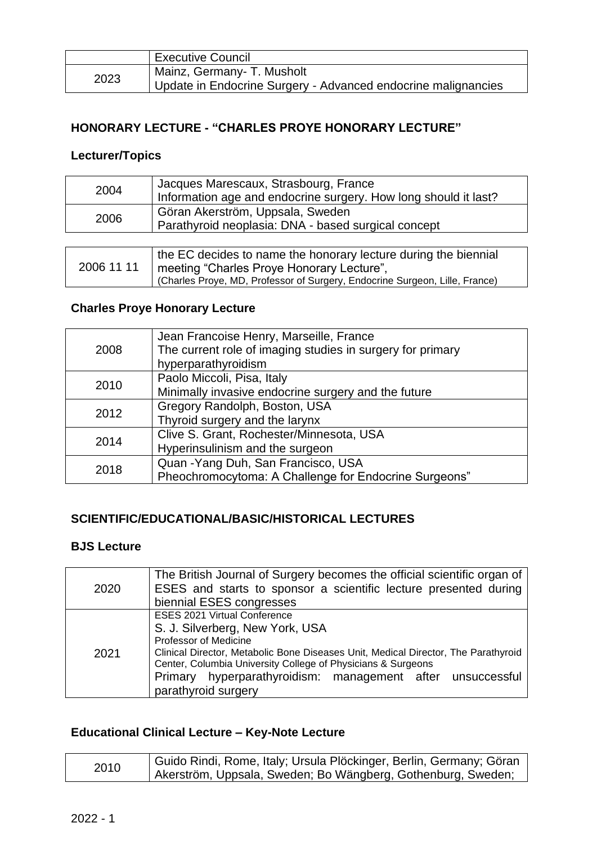|      | Executive Council                                                                           |
|------|---------------------------------------------------------------------------------------------|
| 2023 | Mainz, Germany- T. Musholt<br>Update in Endocrine Surgery - Advanced endocrine malignancies |

# **HONORARY LECTURE - "CHARLES PROYE HONORARY LECTURE"**

# **Lecturer/Topics**

| 2004 | Jacques Marescaux, Strasbourg, France<br>Information age and endocrine surgery. How long should it last? |
|------|----------------------------------------------------------------------------------------------------------|
| 2006 | Göran Akerström, Uppsala, Sweden<br>Parathyroid neoplasia: DNA - based surgical concept                  |
|      | the EC decides to name the honorary lecture during the biennial                                          |

#### 2006 11 11 meeting "Charles Proye Honorary Lecture", (Charles Proye, MD, Professor of Surgery, Endocrine Surgeon, Lille, France)

# **Charles Proye Honorary Lecture**

| 2008 | Jean Francoise Henry, Marseille, France<br>The current role of imaging studies in surgery for primary<br>hyperparathyroidism |
|------|------------------------------------------------------------------------------------------------------------------------------|
| 2010 | Paolo Miccoli, Pisa, Italy<br>Minimally invasive endocrine surgery and the future                                            |
| 2012 | Gregory Randolph, Boston, USA<br>Thyroid surgery and the larynx                                                              |
| 2014 | Clive S. Grant, Rochester/Minnesota, USA<br>Hyperinsulinism and the surgeon                                                  |
| 2018 | Quan - Yang Duh, San Francisco, USA<br>Pheochromocytoma: A Challenge for Endocrine Surgeons"                                 |

# **SCIENTIFIC/EDUCATIONAL/BASIC/HISTORICAL LECTURES**

# **BJS Lecture**

| 2020 | The British Journal of Surgery becomes the official scientific organ of<br>ESES and starts to sponsor a scientific lecture presented during<br>biennial ESES congresses                                                                                                                                                                    |
|------|--------------------------------------------------------------------------------------------------------------------------------------------------------------------------------------------------------------------------------------------------------------------------------------------------------------------------------------------|
| 2021 | <b>ESES 2021 Virtual Conference</b><br>S. J. Silverberg, New York, USA<br>Professor of Medicine<br>Clinical Director, Metabolic Bone Diseases Unit, Medical Director, The Parathyroid<br>Center, Columbia University College of Physicians & Surgeons<br>Primary hyperparathyroidism: management after unsuccessful<br>parathyroid surgery |

# **Educational Clinical Lecture – Key-Note Lecture**

| 2010 | Guido Rindi, Rome, Italy; Ursula Plöckinger, Berlin, Germany; Göran |
|------|---------------------------------------------------------------------|
|      | Akerström, Uppsala, Sweden; Bo Wängberg, Gothenburg, Sweden;        |